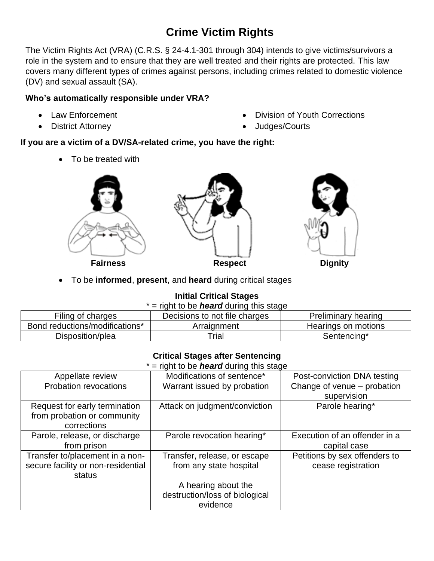# **Crime Victim Rights**

The Victim Rights Act (VRA) (C.R.S. § 24-4.1-301 through 304) intends to give victims/survivors a role in the system and to ensure that they are well treated and their rights are protected. This law covers many different types of crimes against persons, including crimes related to domestic violence (DV) and sexual assault (SA).

### **Who's automatically responsible under VRA?**

- Law Enforcement
- District Attorney
- Division of Youth Corrections
- Judges/Courts

## **If you are a victim of a DV/SA-related crime, you have the right:**

• To be treated with





• To be **informed**, **present**, and **heard** during critical stages

# **Initial Critical Stages**

| * = right to be <i>heard</i> during this stage |  |  |  |  |  |  |  |
|------------------------------------------------|--|--|--|--|--|--|--|
|------------------------------------------------|--|--|--|--|--|--|--|

| Filing of charges              | Decisions to not file charges | Preliminary hearing |
|--------------------------------|-------------------------------|---------------------|
| Bond reductions/modifications* | Arraignment                   | Hearings on motions |
| Disposition/plea               | $\mathsf{r}_{\mathsf{rial}}$  | Sentencing*         |

#### **Critical Stages after Sentencing**

\* – right to be **heard** during this stage

|                                    | $-$ right to be <b>freard</b> during time stage |                               |
|------------------------------------|-------------------------------------------------|-------------------------------|
| Appellate review                   | Modifications of sentence*                      | Post-conviction DNA testing   |
| Probation revocations              | Warrant issued by probation                     | Change of venue - probation   |
|                                    |                                                 | supervision                   |
| Request for early termination      | Attack on judgment/conviction                   | Parole hearing*               |
| from probation or community        |                                                 |                               |
| corrections                        |                                                 |                               |
| Parole, release, or discharge      | Parole revocation hearing*                      | Execution of an offender in a |
| from prison                        |                                                 | capital case                  |
| Transfer to/placement in a non-    | Transfer, release, or escape                    | Petitions by sex offenders to |
| secure facility or non-residential | from any state hospital                         | cease registration            |
| status                             |                                                 |                               |
|                                    | A hearing about the                             |                               |
|                                    | destruction/loss of biological                  |                               |
|                                    | evidence                                        |                               |